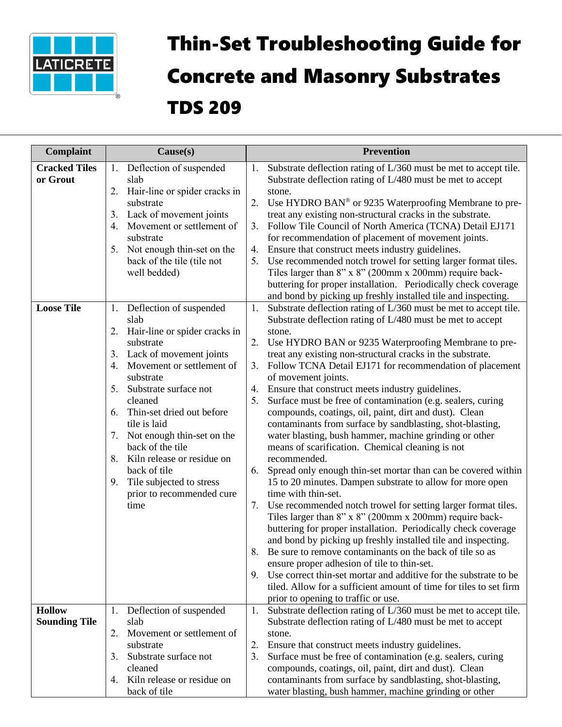

## Thin-Set Troubleshooting Guide for Concrete and Masonry Substrates TDS 209

| <b>Complaint</b>                      | $\text{Cause}(s)$                                                                                                                                                                                                                                                                                                                                                                                                                                       | <b>Prevention</b>                                                                                                                                                                                                                                                                                                                                                                                                                                                                                                                                                                                                                                                                                                                                                                                                                                                                                                                                                                                                                                                                                                                                                                                                                                                                                                                                                                                                                                                                            |
|---------------------------------------|---------------------------------------------------------------------------------------------------------------------------------------------------------------------------------------------------------------------------------------------------------------------------------------------------------------------------------------------------------------------------------------------------------------------------------------------------------|----------------------------------------------------------------------------------------------------------------------------------------------------------------------------------------------------------------------------------------------------------------------------------------------------------------------------------------------------------------------------------------------------------------------------------------------------------------------------------------------------------------------------------------------------------------------------------------------------------------------------------------------------------------------------------------------------------------------------------------------------------------------------------------------------------------------------------------------------------------------------------------------------------------------------------------------------------------------------------------------------------------------------------------------------------------------------------------------------------------------------------------------------------------------------------------------------------------------------------------------------------------------------------------------------------------------------------------------------------------------------------------------------------------------------------------------------------------------------------------------|
| <b>Cracked Tiles</b><br>or Grout      | Deflection of suspended<br>1.<br>slab<br>2.<br>Hair-line or spider cracks in<br>substrate<br>Lack of movement joints<br>3.<br>Movement or settlement of<br>4.<br>substrate<br>Not enough thin-set on the<br>5.<br>back of the tile (tile not<br>well bedded)                                                                                                                                                                                            | Substrate deflection rating of L/360 must be met to accept tile.<br>1.<br>Substrate deflection rating of L/480 must be met to accept<br>stone.<br>Use HYDRO BAN® or 9235 Waterproofing Membrane to pre-<br>2.<br>treat any existing non-structural cracks in the substrate.<br>Follow Tile Council of North America (TCNA) Detail EJ171<br>3.<br>for recommendation of placement of movement joints.<br>Ensure that construct meets industry guidelines.<br>4.<br>Use recommended notch trowel for setting larger format tiles.<br>5.<br>Tiles larger than $8$ " x $8$ " (200mm x 200mm) require back-<br>buttering for proper installation. Periodically check coverage<br>and bond by picking up freshly installed tile and inspecting.                                                                                                                                                                                                                                                                                                                                                                                                                                                                                                                                                                                                                                                                                                                                                    |
| <b>Loose Tile</b>                     | Deflection of suspended<br>1.<br>slab<br>Hair-line or spider cracks in<br>2.<br>substrate<br>Lack of movement joints<br>3.<br>Movement or settlement of<br>4.<br>substrate<br>5.<br>Substrate surface not<br>cleaned<br>Thin-set dried out before<br>6.<br>tile is laid<br>7. Not enough thin-set on the<br>back of the tile<br>Kiln release or residue on<br>8.<br>back of tile<br>Tile subjected to stress<br>9.<br>prior to recommended cure<br>time | Substrate deflection rating of L/360 must be met to accept tile.<br>1.<br>Substrate deflection rating of L/480 must be met to accept<br>stone.<br>Use HYDRO BAN or 9235 Waterproofing Membrane to pre-<br>2.<br>treat any existing non-structural cracks in the substrate.<br>Follow TCNA Detail EJ171 for recommendation of placement<br>3.<br>of movement joints.<br>Ensure that construct meets industry guidelines.<br>4.<br>Surface must be free of contamination (e.g. sealers, curing<br>5.<br>compounds, coatings, oil, paint, dirt and dust). Clean<br>contaminants from surface by sandblasting, shot-blasting,<br>water blasting, bush hammer, machine grinding or other<br>means of scarification. Chemical cleaning is not<br>recommended.<br>6. Spread only enough thin-set mortar than can be covered within<br>15 to 20 minutes. Dampen substrate to allow for more open<br>time with thin-set.<br>Use recommended notch trowel for setting larger format tiles.<br>7.<br>Tiles larger than 8" x 8" (200mm x 200mm) require back-<br>buttering for proper installation. Periodically check coverage<br>and bond by picking up freshly installed tile and inspecting.<br>8.<br>Be sure to remove contaminants on the back of tile so as<br>ensure proper adhesion of tile to thin-set.<br>Use correct thin-set mortar and additive for the substrate to be<br>9.<br>tiled. Allow for a sufficient amount of time for tiles to set firm<br>prior to opening to traffic or use. |
| <b>Hollow</b><br><b>Sounding Tile</b> | Deflection of suspended<br>1.<br>slab<br>2.<br>Movement or settlement of<br>substrate<br>Substrate surface not<br>3.<br>cleaned<br>Kiln release or residue on<br>4.<br>back of tile                                                                                                                                                                                                                                                                     | 1. Substrate deflection rating of L/360 must be met to accept tile.<br>Substrate deflection rating of L/480 must be met to accept<br>stone.<br>2.<br>Ensure that construct meets industry guidelines.<br>3.<br>Surface must be free of contamination (e.g. sealers, curing<br>compounds, coatings, oil, paint, dirt and dust). Clean<br>contaminants from surface by sandblasting, shot-blasting,<br>water blasting, bush hammer, machine grinding or other                                                                                                                                                                                                                                                                                                                                                                                                                                                                                                                                                                                                                                                                                                                                                                                                                                                                                                                                                                                                                                  |